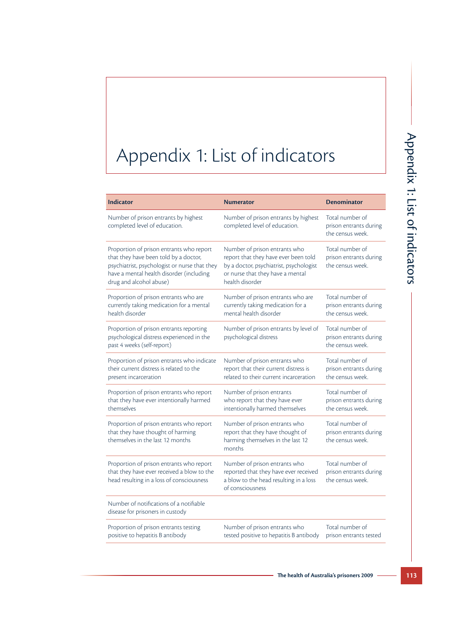## Appendix 1: List of indicators

| <b>Indicator</b>                                                                                                                                                                                          | <b>Numerator</b>                                                                                                                                                        | <b>Denominator</b>                                            |
|-----------------------------------------------------------------------------------------------------------------------------------------------------------------------------------------------------------|-------------------------------------------------------------------------------------------------------------------------------------------------------------------------|---------------------------------------------------------------|
| Number of prison entrants by highest<br>completed level of education.                                                                                                                                     | Number of prison entrants by highest<br>completed level of education.                                                                                                   | Total number of<br>prison entrants during<br>the census week. |
| Proportion of prison entrants who report<br>that they have been told by a doctor,<br>psychiatrist, psychologist or nurse that they<br>have a mental health disorder (including<br>drug and alcohol abuse) | Number of prison entrants who<br>report that they have ever been told<br>by a doctor, psychiatrist, psychologist<br>or nurse that they have a mental<br>health disorder | Total number of<br>prison entrants during<br>the census week. |
| Proportion of prison entrants who are<br>currently taking medication for a mental<br>health disorder                                                                                                      | Number of prison entrants who are<br>currently taking medication for a<br>mental health disorder                                                                        | Total number of<br>prison entrants during<br>the census week. |
| Proportion of prison entrants reporting<br>psychological distress experienced in the<br>past 4 weeks (self-report)                                                                                        | Number of prison entrants by level of<br>psychological distress                                                                                                         | Total number of<br>prison entrants during<br>the census week. |
| Proportion of prison entrants who indicate<br>their current distress is related to the<br>present incarceration                                                                                           | Number of prison entrants who<br>report that their current distress is<br>related to their current incarceration                                                        | Total number of<br>prison entrants during<br>the census week. |
| Proportion of prison entrants who report<br>that they have ever intentionally harmed<br>themselves                                                                                                        | Number of prison entrants<br>who report that they have ever<br>intentionally harmed themselves                                                                          | Total number of<br>prison entrants during<br>the census week. |
| Proportion of prison entrants who report<br>that they have thought of harming<br>themselves in the last 12 months                                                                                         | Number of prison entrants who<br>report that they have thought of<br>harming themselves in the last 12<br>months                                                        | Total number of<br>prison entrants during<br>the census week. |
| Proportion of prison entrants who report<br>that they have ever received a blow to the<br>head resulting in a loss of consciousness                                                                       | Number of prison entrants who<br>reported that they have ever received<br>a blow to the head resulting in a loss<br>of consciousness                                    | Total number of<br>prison entrants during<br>the census week. |
| Number of notifications of a notifiable<br>disease for prisoners in custody                                                                                                                               |                                                                                                                                                                         |                                                               |
| Proportion of prison entrants testing<br>positive to hepatitis B antibody                                                                                                                                 | Number of prison entrants who<br>tested positive to hepatitis B antibody                                                                                                | Total number of<br>prison entrants tested                     |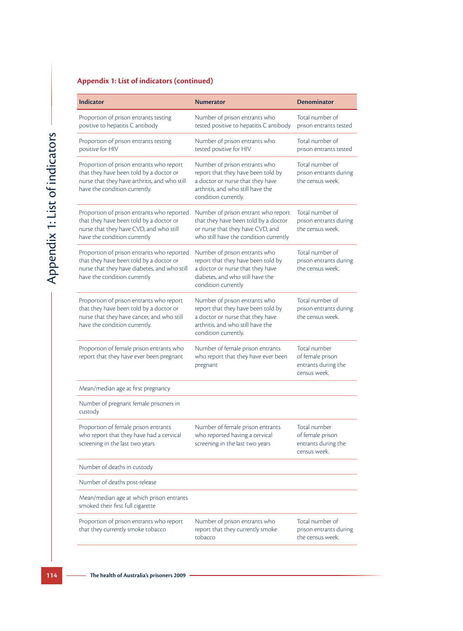## **Appendix 1: List of indicators (continued)**

| <b>Indicator</b>                                                                                                                                                      | <b>Numerator</b>                                                                                                                                                     | <b>Denominator</b>                                                      |
|-----------------------------------------------------------------------------------------------------------------------------------------------------------------------|----------------------------------------------------------------------------------------------------------------------------------------------------------------------|-------------------------------------------------------------------------|
| Proportion of prison entrants testing<br>positive to hepatitis C antibody                                                                                             | Number of prison entrants who<br>tested positive to hepatitis C antibody                                                                                             | Total number of<br>prison entrants tested                               |
| Proportion of prison entrants testing<br>positive for HIV                                                                                                             | Number of prison entrants who<br>tested positive for HIV                                                                                                             | Total number of<br>prison entrants tested                               |
| Proportion of prison entrants who report<br>that they have been told by a doctor or<br>nurse that they have arthritis, and who still<br>have the condition currently. | Number of prison entrants who<br>report that they have been told by<br>a doctor or nurse that they have<br>arthritis, and who still have the<br>condition currently. | Total number of<br>prison entrants during<br>the census week.           |
| Proportion of prison entrants who reported<br>that they have been told by a doctor or<br>nurse that they have CVD, and who still<br>have the condition currently      | Number of prison entrant who report<br>that they have been told by a doctor<br>or nurse that they have CVD, and<br>who still have the condition currently            | Total number of<br>prison entrants during<br>the census week.           |
| Proportion of prison entrants who reported<br>that they have been told by a doctor or<br>nurse that they have diabetes, and who still<br>have the condition currently | Number of prison entrants who<br>report that they have been told by<br>a doctor or nurse that they have<br>diabetes, and who still have the<br>condition currently   | Total number of<br>prison entrants during<br>the census week.           |
| Proportion of prison entrants who report<br>that they have been told by a doctor or<br>nurse that they have cancer, and who still<br>have the condition currently.    | Number of prison entrants who<br>report that they have been told by<br>a doctor or nurse that they have<br>arthritis, and who still have the<br>condition currently. | Total number of<br>prison entrants during<br>the census week.           |
| Proportion of female prison entrants who<br>report that they have ever been pregnant                                                                                  | Number of female prison entrants<br>who report that they have ever been<br>pregnant                                                                                  | Total number<br>of female prison<br>entrants during the<br>census week. |
| Mean/median age at first pregnancy                                                                                                                                    |                                                                                                                                                                      |                                                                         |
| Number of pregnant female prisoners in<br>custody                                                                                                                     |                                                                                                                                                                      |                                                                         |
| Proportion of female prison entrants<br>who report that they have had a cervical<br>screening in the last two years                                                   | Number of female prison entrants<br>who reported having a cervical<br>screening in the last two years                                                                | Total number<br>of female prison<br>entrants during the<br>census week. |
| Number of deaths in custody                                                                                                                                           |                                                                                                                                                                      |                                                                         |
| Number of deaths post-release                                                                                                                                         |                                                                                                                                                                      |                                                                         |
| Mean/median age at which prison entrants<br>smoked their first full cigarette                                                                                         |                                                                                                                                                                      |                                                                         |
| Proportion of prison entrants who report<br>that they currently smoke tobacco                                                                                         | Number of prison entrants who<br>report that they currently smoke<br>tobacco                                                                                         | Total number of<br>prison entrants during<br>the census week.           |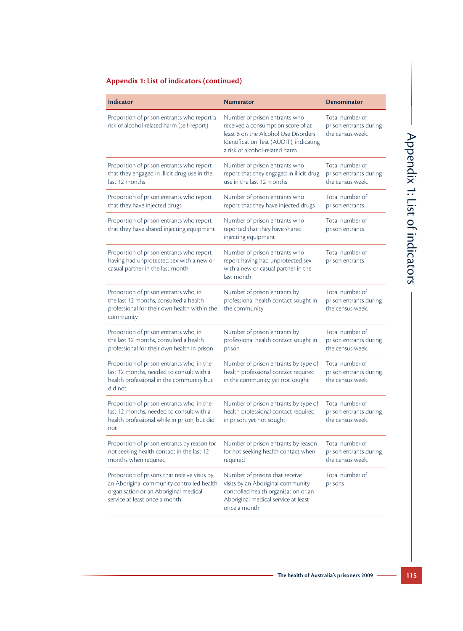## **Appendix 1: List of indicators (continued)**

| <b>Indicator</b>                                                                                                                                                    | <b>Numerator</b>                                                                                                                                                                         | <b>Denominator</b>                                            |
|---------------------------------------------------------------------------------------------------------------------------------------------------------------------|------------------------------------------------------------------------------------------------------------------------------------------------------------------------------------------|---------------------------------------------------------------|
| Proportion of prison entrants who report a<br>risk of alcohol-related harm (self-report)                                                                            | Number of prison entrants who<br>received a consumption score of at<br>least 6 on the Alcohol Use Disorders<br>Identification Test (AUDIT), indicating<br>a risk of alcohol-related harm | Total number of<br>prison entrants during<br>the census week. |
| Proportion of prison entrants who report<br>that they engaged in illicit drug use in the<br>last 12 months                                                          | Number of prison entrants who<br>report that they engaged in illicit drug<br>use in the last 12 months                                                                                   | Total number of<br>prison entrants during<br>the census week. |
| Proportion of prison entrants who report<br>that they have injected drugs                                                                                           | Number of prison entrants who<br>report that they have injected drugs                                                                                                                    | Total number of<br>prison entrants                            |
| Proportion of prison entrants who report<br>that they have shared injecting equipment                                                                               | Number of prison entrants who<br>reported that they have shared<br>injecting equipment                                                                                                   | Total number of<br>prison entrants                            |
| Proportion of prison entrants who report<br>having had unprotected sex with a new or<br>casual partner in the last month                                            | Number of prison entrants who<br>report having had unprotected sex<br>with a new or casual partner in the<br>last month                                                                  | Total number of<br>prison entrants                            |
| Proportion of prison entrants who, in<br>the last 12 months, consulted a health<br>professional for their own health within the<br>community                        | Number of prison entrants by<br>professional health contact sought in<br>the community                                                                                                   | Total number of<br>prison entrants during<br>the census week. |
| Proportion of prison entrants who, in<br>the last 12 months, consulted a health<br>professional for their own health in prison                                      | Number of prison entrants by<br>professional health contact sought in<br>prison                                                                                                          | Total number of<br>prison entrants during<br>the census week. |
| Proportion of prison entrants who, in the<br>last 12 months, needed to consult with a<br>health professional in the community but<br>did not                        | Number of prison entrants by type of<br>health professional contact required<br>in the community, yet not sought                                                                         | Total number of<br>prison entrants during<br>the census week. |
| Proportion of prison entrants who, in the<br>last 12 months, needed to consult with a<br>health professional while in prison, but did<br>not                        | Number of prison entrants by type of<br>health professional contact required<br>in prison, yet not sought                                                                                | Total number of<br>prison entrants during<br>the census week. |
| Proportion of prison entrants by reason for<br>not seeking health contact in the last 12<br>months when required                                                    | Number of prison entrants by reason<br>for not seeking health contact when<br>required                                                                                                   | Total number of<br>prison entrants during<br>the census week. |
| Proportion of prisons that receive visits by<br>an Aboriginal community controlled health<br>organisation or an Aboriginal medical<br>service at least once a month | Number of prisons that receive<br>visits by an Aboriginal community<br>controlled health organisation or an<br>Aboriginal medical service at least<br>once a month                       | Total number of<br>prisons                                    |